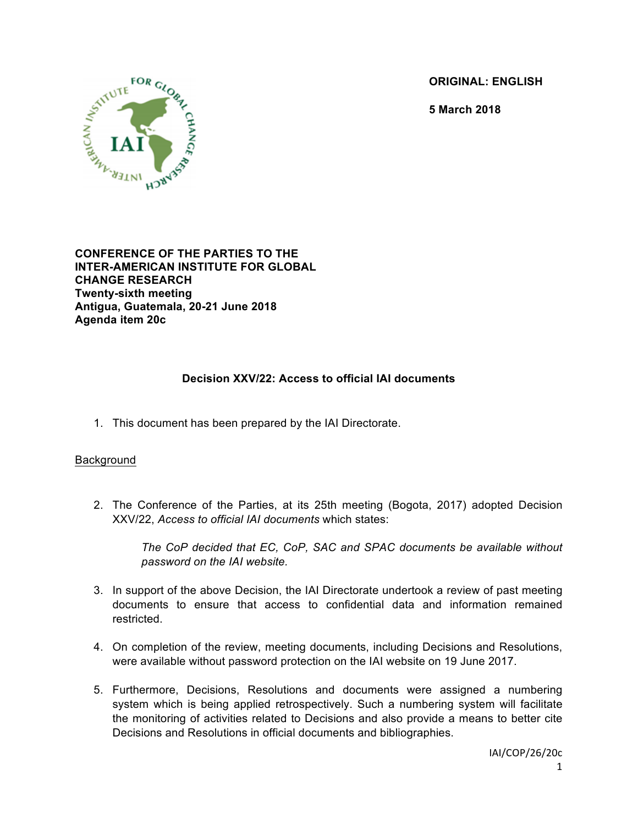**ORIGINAL: ENGLISH**

**5 March 2018**



**CONFERENCE OF THE PARTIES TO THE INTER-AMERICAN INSTITUTE FOR GLOBAL CHANGE RESEARCH Twenty-sixth meeting Antigua, Guatemala, 20-21 June 2018 Agenda item 20c**

# **Decision XXV/22: Access to official IAI documents**

1. This document has been prepared by the IAI Directorate.

#### Background

2. The Conference of the Parties, at its 25th meeting (Bogota, 2017) adopted Decision XXV/22, *Access to official IAI documents* which states:

*The CoP decided that EC, CoP, SAC and SPAC documents be available without password on the IAI website.*

- 3. In support of the above Decision, the IAI Directorate undertook a review of past meeting documents to ensure that access to confidential data and information remained restricted.
- 4. On completion of the review, meeting documents, including Decisions and Resolutions, were available without password protection on the IAI website on 19 June 2017.
- 5. Furthermore, Decisions, Resolutions and documents were assigned a numbering system which is being applied retrospectively. Such a numbering system will facilitate the monitoring of activities related to Decisions and also provide a means to better cite Decisions and Resolutions in official documents and bibliographies.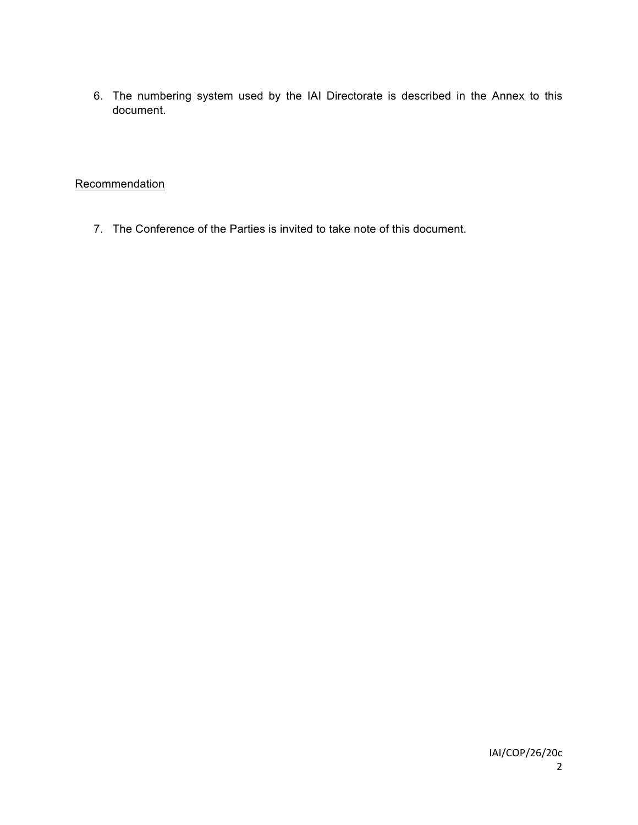6. The numbering system used by the IAI Directorate is described in the Annex to this document.

# **Recommendation**

7. The Conference of the Parties is invited to take note of this document.